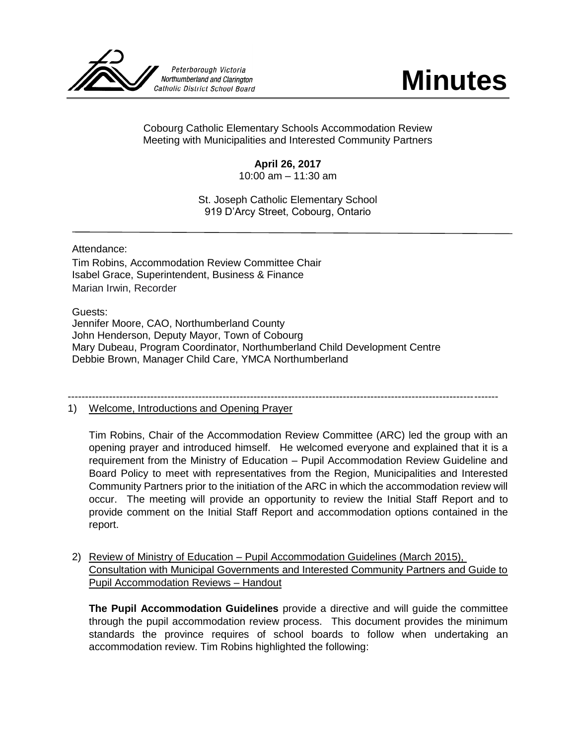

Cobourg Catholic Elementary Schools Accommodation Review Meeting with Municipalities and Interested Community Partners

## **April 26, 2017**

10:00 am – 11:30 am

St. Joseph Catholic Elementary School 919 D'Arcy Street, Cobourg, Ontario

Attendance:

Tim Robins, Accommodation Review Committee Chair Isabel Grace, Superintendent, Business & Finance Marian Irwin, Recorder

Guests:

Jennifer Moore, CAO, Northumberland County John Henderson, Deputy Mayor, Town of Cobourg Mary Dubeau, Program Coordinator, Northumberland Child Development Centre Debbie Brown, Manager Child Care, YMCA Northumberland

-----------------------------------------------------------------------------------------------------------------------------

## 1) Welcome, Introductions and Opening Prayer

Tim Robins, Chair of the Accommodation Review Committee (ARC) led the group with an opening prayer and introduced himself. He welcomed everyone and explained that it is a requirement from the Ministry of Education – Pupil Accommodation Review Guideline and Board Policy to meet with representatives from the Region, Municipalities and Interested Community Partners prior to the initiation of the ARC in which the accommodation review will occur. The meeting will provide an opportunity to review the Initial Staff Report and to provide comment on the Initial Staff Report and accommodation options contained in the report.

2) Review of Ministry of Education - Pupil Accommodation Guidelines (March 2015), Consultation with Municipal Governments and Interested Community Partners and Guide to Pupil Accommodation Reviews – Handout

**The Pupil Accommodation Guidelines** provide a directive and will guide the committee through the pupil accommodation review process. This document provides the minimum standards the province requires of school boards to follow when undertaking an accommodation review. Tim Robins highlighted the following: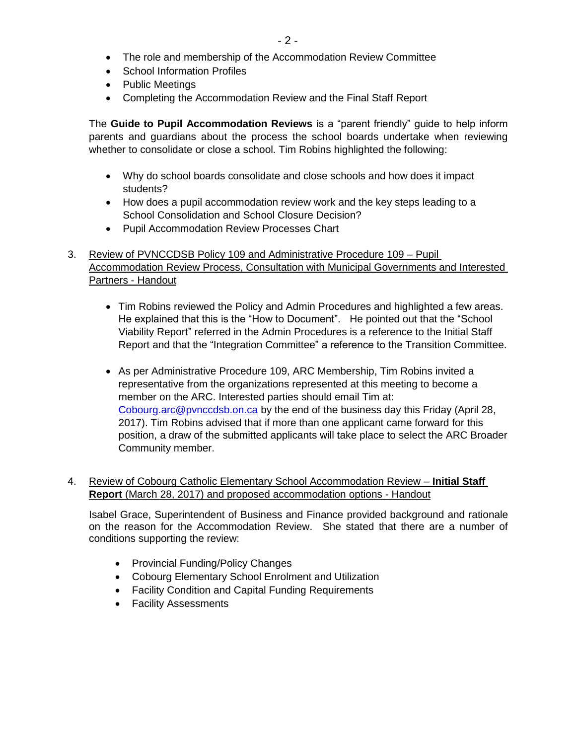- The role and membership of the Accommodation Review Committee
- School Information Profiles
- Public Meetings
- Completing the Accommodation Review and the Final Staff Report

The **Guide to Pupil Accommodation Reviews** is a "parent friendly" guide to help inform parents and guardians about the process the school boards undertake when reviewing whether to consolidate or close a school. Tim Robins highlighted the following:

- Why do school boards consolidate and close schools and how does it impact students?
- How does a pupil accommodation review work and the key steps leading to a School Consolidation and School Closure Decision?
- Pupil Accommodation Review Processes Chart
- 3. Review of PVNCCDSB Policy 109 and Administrative Procedure 109 Pupil Accommodation Review Process, Consultation with Municipal Governments and Interested Partners - Handout
	- Tim Robins reviewed the Policy and Admin Procedures and highlighted a few areas. He explained that this is the "How to Document". He pointed out that the "School Viability Report" referred in the Admin Procedures is a reference to the Initial Staff Report and that the "Integration Committee" a reference to the Transition Committee.
	- As per Administrative Procedure 109, ARC Membership, Tim Robins invited a representative from the organizations represented at this meeting to become a member on the ARC. Interested parties should email Tim at: [Cobourg.arc@pvnccdsb.on.ca](mailto:Cobourg.arc@pvnccdsb.on.ca) by the end of the business day this Friday (April 28, 2017). Tim Robins advised that if more than one applicant came forward for this position, a draw of the submitted applicants will take place to select the ARC Broader Community member.

## 4. Review of Cobourg Catholic Elementary School Accommodation Review – **Initial Staff Report** (March 28, 2017) and proposed accommodation options - Handout

Isabel Grace, Superintendent of Business and Finance provided background and rationale on the reason for the Accommodation Review. She stated that there are a number of conditions supporting the review:

- Provincial Funding/Policy Changes
- Cobourg Elementary School Enrolment and Utilization
- Facility Condition and Capital Funding Requirements
- Facility Assessments